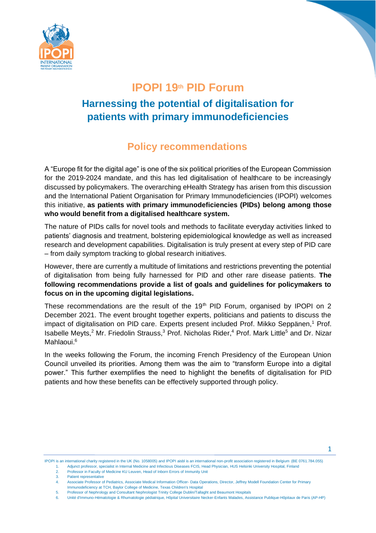

## **IPOPI 19th PID Forum**

# **Harnessing the potential of digitalisation for patients with primary immunodeficiencies**

# **Policy recommendations**

A "Europe fit for the digital age" is one of the six political priorities of the European Commission for the 2019-2024 mandate, and this has led digitalisation of healthcare to be increasingly discussed by policymakers. The overarching eHealth Strategy has arisen from this discussion and the International Patient Organisation for Primary Immunodeficiencies (IPOPI) welcomes this initiative, **as patients with primary immunodeficiencies (PIDs) belong among those who would benefit from a digitalised healthcare system.**

The nature of PIDs calls for novel tools and methods to facilitate everyday activities linked to patients' diagnosis and treatment, bolstering epidemiological knowledge as well as increased research and development capabilities. Digitalisation is truly present at every step of PID care – from daily symptom tracking to global research initiatives.

However, there are currently a multitude of limitations and restrictions preventing the potential of digitalisation from being fully harnessed for PID and other rare disease patients. **The following recommendations provide a list of goals and guidelines for policymakers to focus on in the upcoming digital legislations.**

These recommendations are the result of the 19<sup>th</sup> PID Forum, organised by IPOPI on 2 December 2021. The event brought together experts, politicians and patients to discuss the impact of digitalisation on PID care. Experts present included Prof. Mikko Seppänen,<sup>1</sup> Prof. Isabelle Meyts,<sup>2</sup> Mr. Friedolin Strauss,<sup>3</sup> Prof. Nicholas Rider,<sup>4</sup> Prof. Mark Little<sup>5</sup> and Dr. Nizar Mahlaoui.<sup>6</sup>

In the weeks following the Forum, the incoming French Presidency of the European Union Council unveiled its priorities. Among them was the aim to "transform Europe into a digital power." This further exemplifies the need to highlight the benefits of digitalisation for PID patients and how these benefits can be effectively supported through policy.

IPOPI is an international charity registered in the UK (No. 1058005) and IPOPI aisbl is an international non-profit association registered in Belgium (BE 0761.784.055) 1. Adjunct professor, specialist in Internal Medicine and Infectious Diseases FCIS, Head Physician, HUS Helsinki University Hospital, Finland

3. Patient representative

<sup>2.</sup> Professor in Faculty of Medicine KU Leuven, Head of Inborn Errors of Immunity Unit

<sup>4.</sup> Associate Professor of Pediatrics, Associate Medical Information Officer- Data Operations, Director, Jeffrey Modell Foundation Center for Primary Immunodeficiency at TCH, Baylor College of Medicine, Texas Children's Hospital

<sup>5.</sup> Professor of Nephrology and Consultant Nephrologist Trinity College Dublin/Tallaght and Beaumont Hospitals

<sup>6.</sup> Unité d'Immuno-Hématologie & Rhumatologie pédiatrique, Hôpital Universitaire Necker-Enfants Malades, Assistance Publique-Hôpitaux de Paris (AP-HP)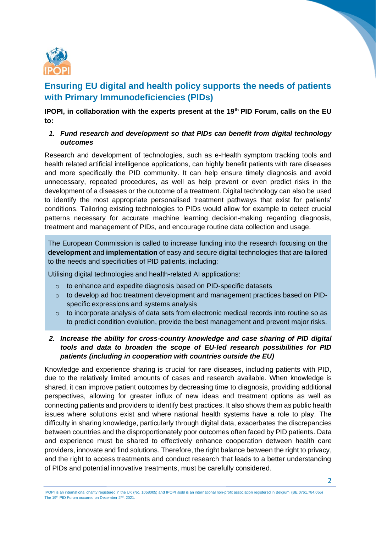

### **Ensuring EU digital and health policy supports the needs of patients with Primary Immunodeficiencies (PIDs)**

**IPOPI, in collaboration with the experts present at the 19th PID Forum, calls on the EU to:**

### *1. Fund research and development so that PIDs can benefit from digital technology outcomes*

Research and development of technologies, such as e-Health symptom tracking tools and health related artificial intelligence applications, can highly benefit patients with rare diseases and more specifically the PID community. It can help ensure timely diagnosis and avoid unnecessary, repeated procedures, as well as help prevent or even predict risks in the development of a diseases or the outcome of a treatment. Digital technology can also be used to identify the most appropriate personalised treatment pathways that exist for patients' conditions. Tailoring existing technologies to PIDs would allow for example to detect crucial patterns necessary for accurate machine learning decision-making regarding diagnosis, treatment and management of PIDs, and encourage routine data collection and usage.

The European Commission is called to increase funding into the research focusing on the **development** and **implementation** of easy and secure digital technologies that are tailored to the needs and specificities of PID patients, including:

Utilising digital technologies and health-related AI applications:

- o to enhance and expedite diagnosis based on PID-specific datasets
- o to develop ad hoc treatment development and management practices based on PIDspecific expressions and systems analysis
- o to incorporate analysis of data sets from electronic medical records into routine so as to predict condition evolution, provide the best management and prevent major risks.
- *2. Increase the ability for cross-country knowledge and case sharing of PID digital tools and data to broaden the scope of EU-led research possibilities for PID patients (including in cooperation with countries outside the EU)*

Knowledge and experience sharing is crucial for rare diseases, including patients with PID, due to the relatively limited amounts of cases and research available. When knowledge is shared, it can improve patient outcomes by decreasing time to diagnosis, providing additional perspectives, allowing for greater influx of new ideas and treatment options as well as connecting patients and providers to identify best practices. It also shows them as public health issues where solutions exist and where national health systems have a role to play. The difficulty in sharing knowledge, particularly through digital data, exacerbates the discrepancies between countries and the disproportionately poor outcomes often faced by PID patients. Data and experience must be shared to effectively enhance cooperation detween health care providers, innovate and find solutions. Therefore, the right balance between the right to privacy, and the right to access treatments and conduct research that leads to a better understanding of PIDs and potential innovative treatments, must be carefully considered.

IPOPI is an international charity registered in the UK (No. 1058005) and IPOPI aisbl is an international non-profit association registered in Belgium (BE 0761.784.055) The 19<sup>th</sup> PID Forum occurred on December 2<sup>nd</sup>, 2021.